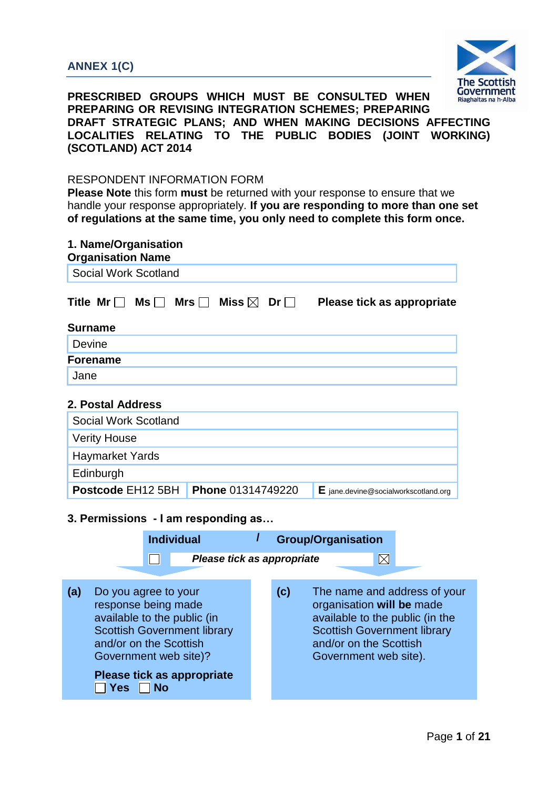# **ANNEX 1(C)**



**PRESCRIBED GROUPS WHICH MUST BE CONSULTED WHEN PREPARING OR REVISING INTEGRATION SCHEMES; PREPARING DRAFT STRATEGIC PLANS; AND WHEN MAKING DECISIONS AFFECTING LOCALITIES RELATING TO THE PUBLIC BODIES (JOINT WORKING) (SCOTLAND) ACT 2014** 

### RESPONDENT INFORMATION FORM

| 1. Name/Organisation<br><b>Organisation Name</b> |                                             |                                                 |  |  |  |
|--------------------------------------------------|---------------------------------------------|-------------------------------------------------|--|--|--|
| <b>Social Work Scotland</b>                      |                                             |                                                 |  |  |  |
| Title Mr $\Box$<br>$\mathsf{Ms} \, \Box$         | Miss $\boxtimes$<br>Mrs $\Box$<br>Dr $\Box$ | Please tick as appropriate                      |  |  |  |
| Surname                                          |                                             |                                                 |  |  |  |
| Devine                                           |                                             |                                                 |  |  |  |
| <b>Forename</b>                                  |                                             |                                                 |  |  |  |
| Jane                                             |                                             |                                                 |  |  |  |
| 2. Postal Address                                |                                             |                                                 |  |  |  |
| Social Work Scotland                             |                                             |                                                 |  |  |  |
| <b>Verity House</b>                              |                                             |                                                 |  |  |  |
| <b>Haymarket Yards</b>                           |                                             |                                                 |  |  |  |
| Edinburgh                                        |                                             |                                                 |  |  |  |
| Postcode EH <sub>12</sub> 5BH                    | Phone 01314749220                           | $\mathsf{E}$ jane.devine@socialworkscotland.org |  |  |  |
| 3. Permissions - I am responding as              |                                             |                                                 |  |  |  |
| <b>Individual</b>                                |                                             | <b>Group/Organisation</b>                       |  |  |  |

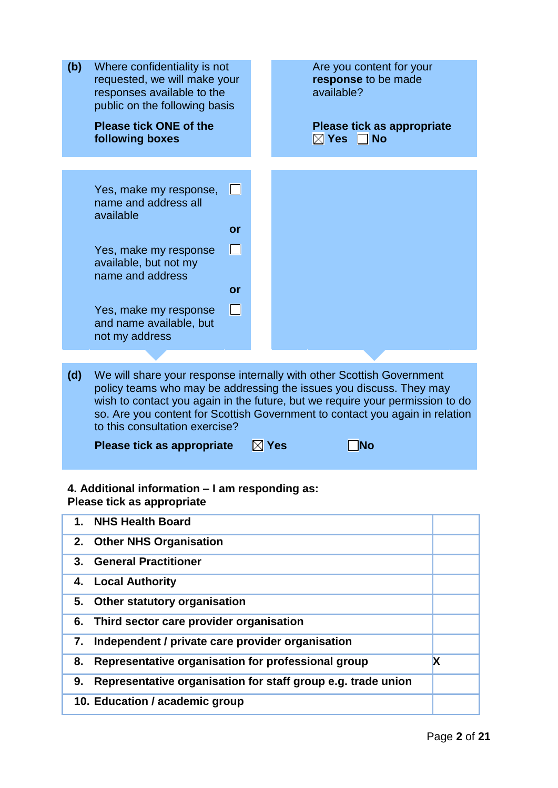| (b) | Where confidentiality is not<br>requested, we will make your<br>responses available to the<br>public on the following basis |        | Are you content for your<br>response to be made<br>available?                                                                                                                                                                                                                                                                                 |  |
|-----|-----------------------------------------------------------------------------------------------------------------------------|--------|-----------------------------------------------------------------------------------------------------------------------------------------------------------------------------------------------------------------------------------------------------------------------------------------------------------------------------------------------|--|
|     | <b>Please tick ONE of the</b><br>following boxes                                                                            |        | Please tick as appropriate<br>$\boxtimes$ Yes<br><b>No</b>                                                                                                                                                                                                                                                                                    |  |
|     |                                                                                                                             |        |                                                                                                                                                                                                                                                                                                                                               |  |
|     | Yes, make my response,<br>name and address all<br>available                                                                 | H      |                                                                                                                                                                                                                                                                                                                                               |  |
|     |                                                                                                                             | or     |                                                                                                                                                                                                                                                                                                                                               |  |
|     | Yes, make my response<br>available, but not my<br>name and address                                                          | П      |                                                                                                                                                                                                                                                                                                                                               |  |
|     |                                                                                                                             | or     |                                                                                                                                                                                                                                                                                                                                               |  |
|     | Yes, make my response<br>and name available, but<br>not my address                                                          | $\Box$ |                                                                                                                                                                                                                                                                                                                                               |  |
|     |                                                                                                                             |        |                                                                                                                                                                                                                                                                                                                                               |  |
| (d) | to this consultation exercise?<br>Please tick as appropriate                                                                |        | We will share your response internally with other Scottish Government<br>policy teams who may be addressing the issues you discuss. They may<br>wish to contact you again in the future, but we require your permission to do<br>so. Are you content for Scottish Government to contact you again in relation<br>$\boxtimes$ Yes<br><b>No</b> |  |
|     |                                                                                                                             |        |                                                                                                                                                                                                                                                                                                                                               |  |
|     | 4. Additional information - I am responding as:<br>Please tick as appropriate                                               |        |                                                                                                                                                                                                                                                                                                                                               |  |
| 1.  | <b>NHS Health Board</b>                                                                                                     |        |                                                                                                                                                                                                                                                                                                                                               |  |
| 2.  | <b>Other NHS Organisation</b>                                                                                               |        |                                                                                                                                                                                                                                                                                                                                               |  |
| 3.  | <b>General Practitioner</b>                                                                                                 |        |                                                                                                                                                                                                                                                                                                                                               |  |
|     |                                                                                                                             |        |                                                                                                                                                                                                                                                                                                                                               |  |
| 4.  | <b>Local Authority</b>                                                                                                      |        |                                                                                                                                                                                                                                                                                                                                               |  |
| 5.  | Other statutory organisation                                                                                                |        |                                                                                                                                                                                                                                                                                                                                               |  |
| 6.  | Third sector care provider organisation                                                                                     |        |                                                                                                                                                                                                                                                                                                                                               |  |

**8.** Representative organisation for professional group **gives 9. Representative organisation for staff group e.g. trade union 10. Education / academic group**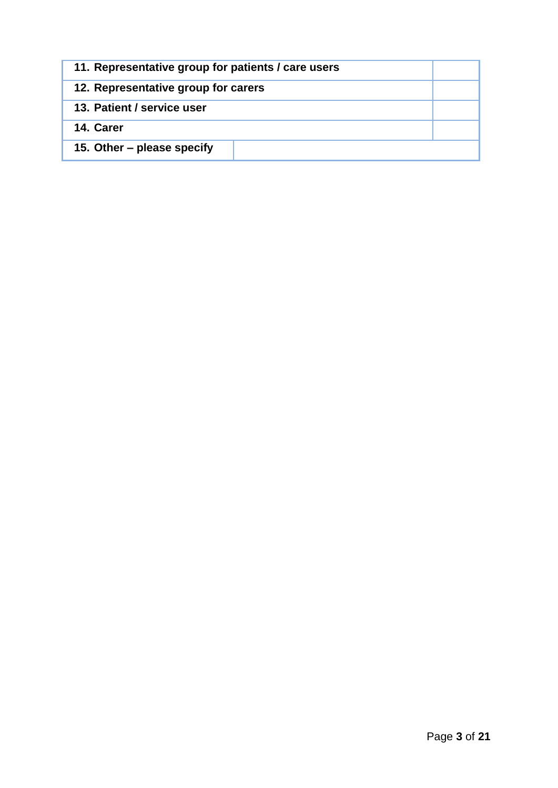| 11. Representative group for patients / care users |  |
|----------------------------------------------------|--|
| 12. Representative group for carers                |  |
| 13. Patient / service user                         |  |
| 14. Carer                                          |  |
| 15. Other – please specify                         |  |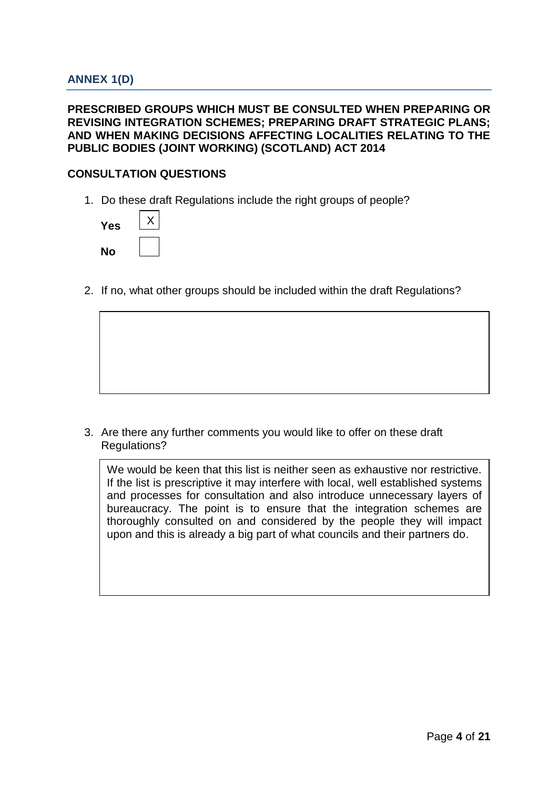## **PRESCRIBED GROUPS WHICH MUST BE CONSULTED WHEN PREPARING OR REVISING INTEGRATION SCHEMES; PREPARING DRAFT STRATEGIC PLANS; AND WHEN MAKING DECISIONS AFFECTING LOCALITIES RELATING TO THE PUBLIC BODIES (JOINT WORKING) (SCOTLAND) ACT 2014**

## **CONSULTATION QUESTIONS**

1. Do these draft Regulations include the right groups of people?

| Yes |  |
|-----|--|
| No  |  |

2. If no, what other groups should be included within the draft Regulations?

3. Are there any further comments you would like to offer on these draft Regulations?

We would be keen that this list is neither seen as exhaustive nor restrictive. If the list is prescriptive it may interfere with local, well established systems and processes for consultation and also introduce unnecessary layers of bureaucracy. The point is to ensure that the integration schemes are thoroughly consulted on and considered by the people they will impact upon and this is already a big part of what councils and their partners do.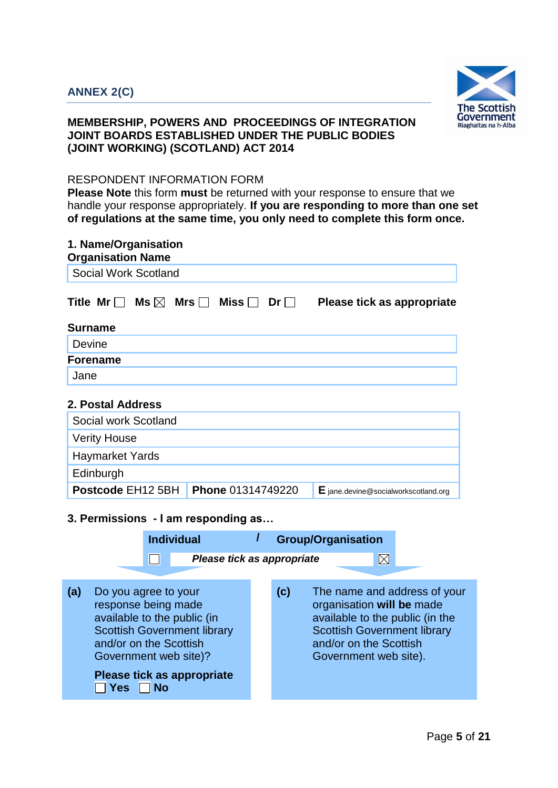

# **MEMBERSHIP, POWERS AND PROCEEDINGS OF INTEGRATION JOINT BOARDS ESTABLISHED UNDER THE PUBLIC BODIES (JOINT WORKING) (SCOTLAND) ACT 2014**

## RESPONDENT INFORMATION FORM

| 1. Name/Organisation<br><b>Organisation Name</b> |                           |                   |                                        |  |  |
|--------------------------------------------------|---------------------------|-------------------|----------------------------------------|--|--|
| Social Work Scotland                             |                           |                   |                                        |  |  |
| Title Mr $\Box$<br>Ms $\boxtimes$                | Mrs $\Box$<br>Miss $\Box$ | $Dr \mid \; \;  $ | Please tick as appropriate             |  |  |
| <b>Surname</b>                                   |                           |                   |                                        |  |  |
| Devine                                           |                           |                   |                                        |  |  |
| <b>Forename</b>                                  |                           |                   |                                        |  |  |
| Jane                                             |                           |                   |                                        |  |  |
| 2. Postal Address                                |                           |                   |                                        |  |  |
| Social work Scotland                             |                           |                   |                                        |  |  |
| <b>Verity House</b>                              |                           |                   |                                        |  |  |
| <b>Haymarket Yards</b>                           |                           |                   |                                        |  |  |
| Edinburgh                                        |                           |                   |                                        |  |  |
| Postcode EH <sub>12</sub> 5BH                    | Phone 01314749220         |                   | $E$ jane.devine@socialworkscotland.org |  |  |
| 3. Permissions - I am responding as              |                           |                   |                                        |  |  |

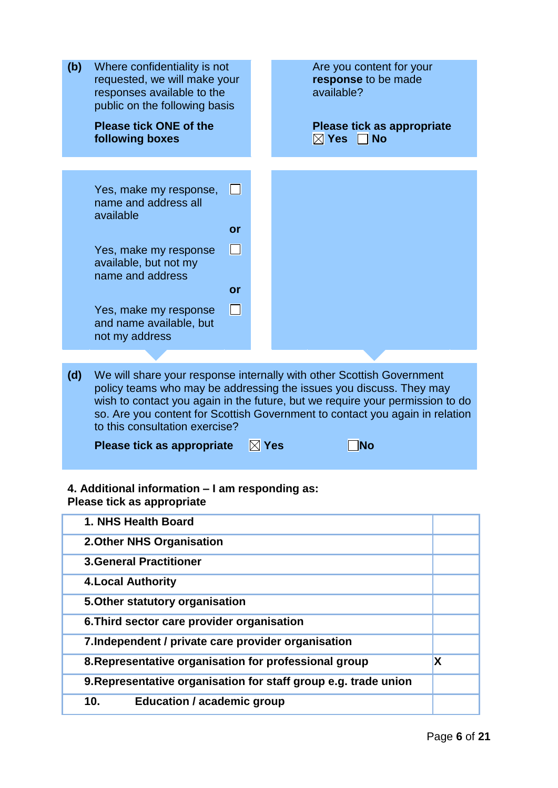| (b) | Where confidentiality is not<br>requested, we will make your<br>responses available to the<br>public on the following basis |                 | Are you content for your<br>response to be made<br>available?                                                                                                                                                                                                                                                 |   |
|-----|-----------------------------------------------------------------------------------------------------------------------------|-----------------|---------------------------------------------------------------------------------------------------------------------------------------------------------------------------------------------------------------------------------------------------------------------------------------------------------------|---|
|     | <b>Please tick ONE of the</b><br>following boxes                                                                            |                 | Please tick as appropriate<br>$\boxtimes$ Yes<br>$\Box$ No                                                                                                                                                                                                                                                    |   |
|     |                                                                                                                             |                 |                                                                                                                                                                                                                                                                                                               |   |
|     | Yes, make my response,<br>name and address all<br>available                                                                 | $\Box$          |                                                                                                                                                                                                                                                                                                               |   |
|     |                                                                                                                             | or              |                                                                                                                                                                                                                                                                                                               |   |
|     | Yes, make my response<br>available, but not my<br>name and address                                                          | $\Box$          |                                                                                                                                                                                                                                                                                                               |   |
|     |                                                                                                                             | or              |                                                                                                                                                                                                                                                                                                               |   |
|     | Yes, make my response<br>and name available, but<br>not my address                                                          | $\mathsf{L}$    |                                                                                                                                                                                                                                                                                                               |   |
|     |                                                                                                                             |                 |                                                                                                                                                                                                                                                                                                               |   |
| (d) | to this consultation exercise?                                                                                              |                 | We will share your response internally with other Scottish Government<br>policy teams who may be addressing the issues you discuss. They may<br>wish to contact you again in the future, but we require your permission to do<br>so. Are you content for Scottish Government to contact you again in relation |   |
|     | Please tick as appropriate                                                                                                  | $\boxtimes$ Yes | No                                                                                                                                                                                                                                                                                                            |   |
|     | 4. Additional information – I am responding as:<br>Please tick as appropriate                                               |                 |                                                                                                                                                                                                                                                                                                               |   |
|     | 1. NHS Health Board                                                                                                         |                 |                                                                                                                                                                                                                                                                                                               |   |
|     | 2. Other NHS Organisation                                                                                                   |                 |                                                                                                                                                                                                                                                                                                               |   |
|     | <b>3.General Practitioner</b>                                                                                               |                 |                                                                                                                                                                                                                                                                                                               |   |
|     | <b>4. Local Authority</b>                                                                                                   |                 |                                                                                                                                                                                                                                                                                                               |   |
|     | 5. Other statutory organisation                                                                                             |                 |                                                                                                                                                                                                                                                                                                               |   |
|     | 6. Third sector care provider organisation                                                                                  |                 |                                                                                                                                                                                                                                                                                                               |   |
|     | 7. Independent / private care provider organisation                                                                         |                 |                                                                                                                                                                                                                                                                                                               |   |
|     | 8. Representative organisation for professional group                                                                       |                 |                                                                                                                                                                                                                                                                                                               | X |

**9.Representative organisation for staff group e.g. trade union**

**10. Education / academic group**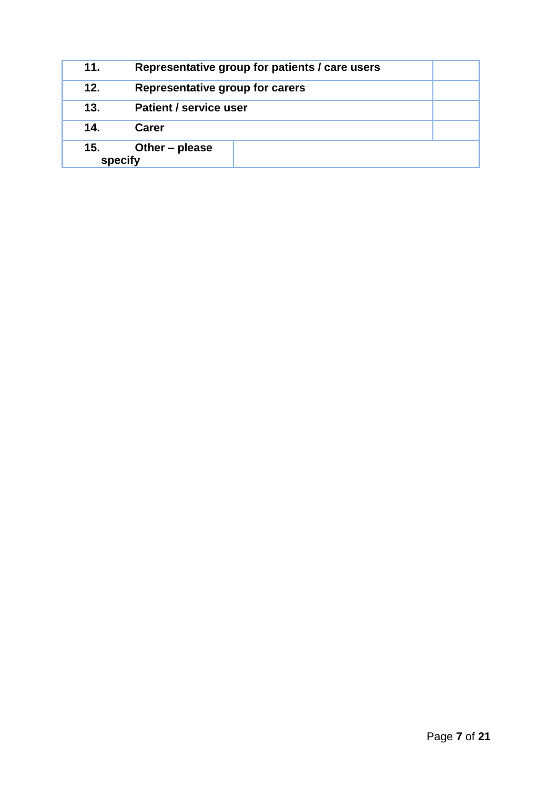| 11.            | Representative group for patients / care users |  |
|----------------|------------------------------------------------|--|
| 12.            | Representative group for carers                |  |
| 13.            | <b>Patient / service user</b>                  |  |
| 14.            | Carer                                          |  |
| 15.<br>specify | Other – please                                 |  |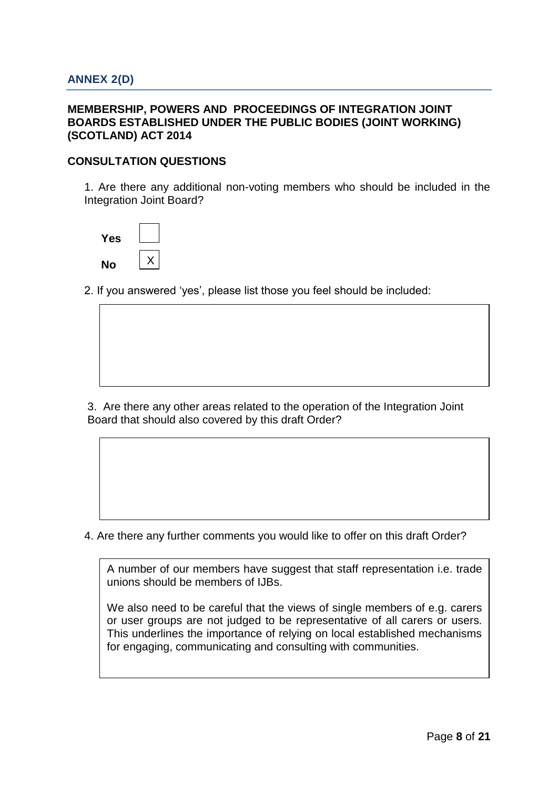### **MEMBERSHIP, POWERS AND PROCEEDINGS OF INTEGRATION JOINT BOARDS ESTABLISHED UNDER THE PUBLIC BODIES (JOINT WORKING) (SCOTLAND) ACT 2014**

## **CONSULTATION QUESTIONS**

1. Are there any additional non-voting members who should be included in the Integration Joint Board?



2. If you answered 'yes', please list those you feel should be included:

3. Are there any other areas related to the operation of the Integration Joint Board that should also covered by this draft Order?

4. Are there any further comments you would like to offer on this draft Order?

A number of our members have suggest that staff representation i.e. trade unions should be members of IJBs.

We also need to be careful that the views of single members of e.g. carers or user groups are not judged to be representative of all carers or users. This underlines the importance of relying on local established mechanisms for engaging, communicating and consulting with communities.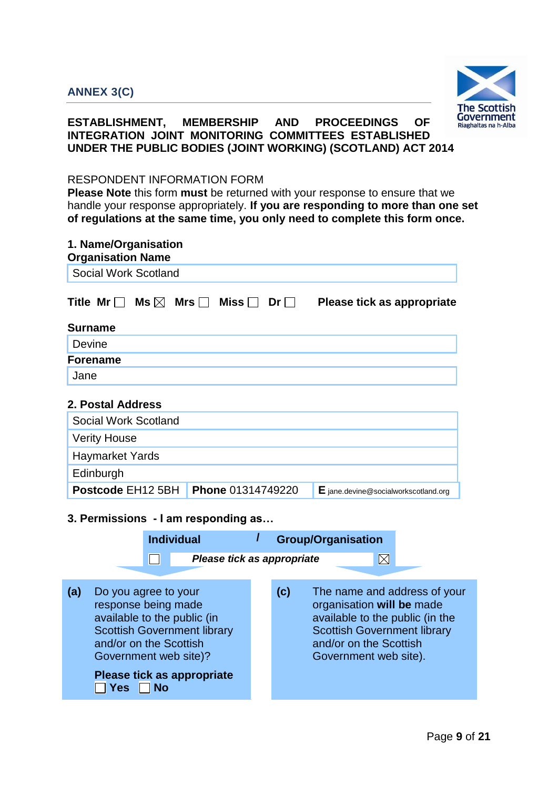

# **ESTABLISHMENT, MEMBERSHIP AND PROCEEDINGS OF INTEGRATION JOINT MONITORING COMMITTEES ESTABLISHED UNDER THE PUBLIC BODIES (JOINT WORKING) (SCOTLAND) ACT 2014**

### RESPONDENT INFORMATION FORM

| 1. Name/Organisation<br><b>Organisation Name</b> |                                        |                                        |  |  |
|--------------------------------------------------|----------------------------------------|----------------------------------------|--|--|
| Social Work Scotland                             |                                        |                                        |  |  |
| Title Mr $\Box$<br>Ms $\boxtimes$                | Mrs $\Box$<br>Miss $\Box$<br>$Dr \Box$ | Please tick as appropriate             |  |  |
| <b>Surname</b>                                   |                                        |                                        |  |  |
| Devine                                           |                                        |                                        |  |  |
| <b>Forename</b>                                  |                                        |                                        |  |  |
| Jane                                             |                                        |                                        |  |  |
| 2. Postal Address                                |                                        |                                        |  |  |
| Social Work Scotland                             |                                        |                                        |  |  |
| <b>Verity House</b>                              |                                        |                                        |  |  |
| <b>Haymarket Yards</b>                           |                                        |                                        |  |  |
| Edinburgh                                        |                                        |                                        |  |  |
| Postcode EH <sub>12</sub> 5BH                    | Phone 01314749220                      | $E$ jane.devine@socialworkscotland.org |  |  |
| 3. Permissions - I am responding as              |                                        |                                        |  |  |

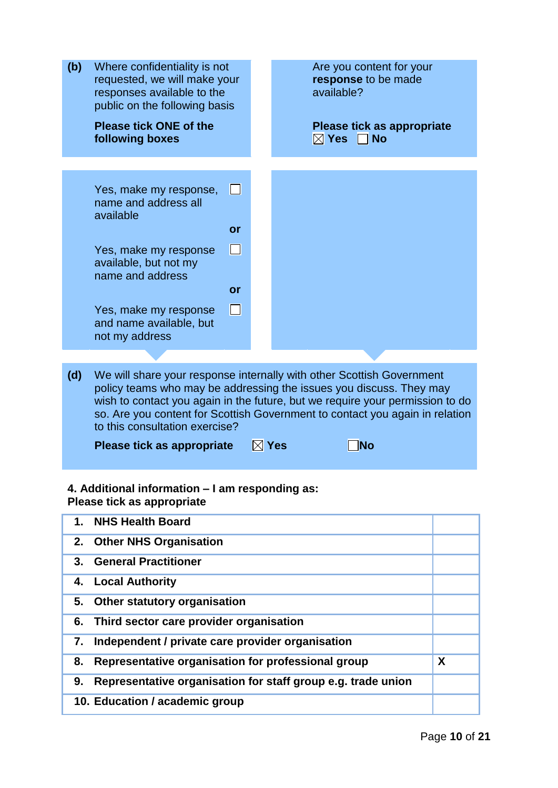| (b) | Where confidentiality is not<br>requested, we will make your<br>responses available to the<br>public on the following basis |        | Are you content for your<br>response to be made<br>available?                                                                                                                                                                                                                                                 |  |
|-----|-----------------------------------------------------------------------------------------------------------------------------|--------|---------------------------------------------------------------------------------------------------------------------------------------------------------------------------------------------------------------------------------------------------------------------------------------------------------------|--|
|     | <b>Please tick ONE of the</b><br>following boxes                                                                            |        | Please tick as appropriate<br>$\boxtimes$ Yes<br><b>No</b>                                                                                                                                                                                                                                                    |  |
|     |                                                                                                                             |        |                                                                                                                                                                                                                                                                                                               |  |
|     | Yes, make my response,<br>name and address all<br>available                                                                 | H      |                                                                                                                                                                                                                                                                                                               |  |
|     |                                                                                                                             | or     |                                                                                                                                                                                                                                                                                                               |  |
|     | Yes, make my response<br>available, but not my<br>name and address                                                          | П      |                                                                                                                                                                                                                                                                                                               |  |
|     |                                                                                                                             | or     |                                                                                                                                                                                                                                                                                                               |  |
|     | Yes, make my response<br>and name available, but                                                                            | $\Box$ |                                                                                                                                                                                                                                                                                                               |  |
|     | not my address                                                                                                              |        |                                                                                                                                                                                                                                                                                                               |  |
|     |                                                                                                                             |        |                                                                                                                                                                                                                                                                                                               |  |
| (d) | to this consultation exercise?                                                                                              |        | We will share your response internally with other Scottish Government<br>policy teams who may be addressing the issues you discuss. They may<br>wish to contact you again in the future, but we require your permission to do<br>so. Are you content for Scottish Government to contact you again in relation |  |
|     | Please tick as appropriate                                                                                                  |        | $\boxtimes$ Yes<br><b>No</b>                                                                                                                                                                                                                                                                                  |  |
|     |                                                                                                                             |        |                                                                                                                                                                                                                                                                                                               |  |
|     | 4. Additional information - I am responding as:<br>Please tick as appropriate                                               |        |                                                                                                                                                                                                                                                                                                               |  |
| 1.  | <b>NHS Health Board</b>                                                                                                     |        |                                                                                                                                                                                                                                                                                                               |  |
| 2.  | <b>Other NHS Organisation</b>                                                                                               |        |                                                                                                                                                                                                                                                                                                               |  |
| 3.  | <b>General Practitioner</b>                                                                                                 |        |                                                                                                                                                                                                                                                                                                               |  |
| 4.  | <b>Local Authority</b>                                                                                                      |        |                                                                                                                                                                                                                                                                                                               |  |
| 5.  | Other statutory organisation                                                                                                |        |                                                                                                                                                                                                                                                                                                               |  |
| 6.  | Third sector care provider organisation                                                                                     |        |                                                                                                                                                                                                                                                                                                               |  |

- **8. Representative organisation for professional group X 9. Representative organisation for staff group e.g. trade union**
- **10. Education / academic group**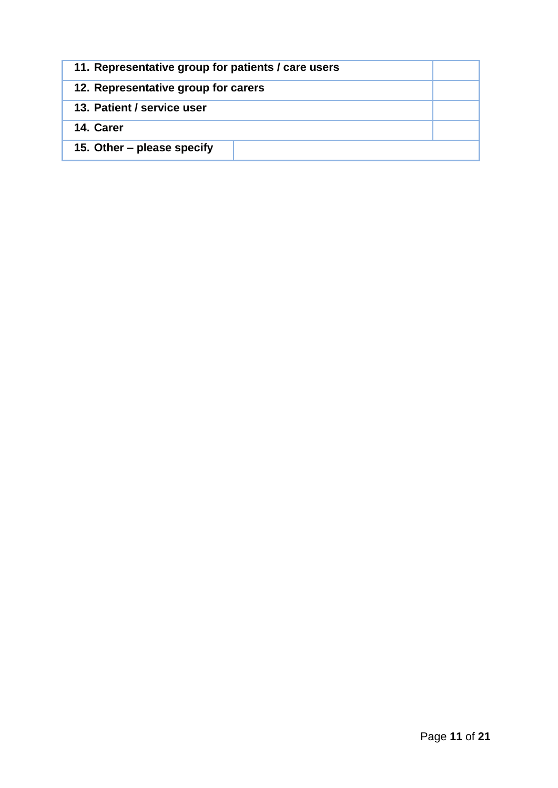| 11. Representative group for patients / care users |  |
|----------------------------------------------------|--|
| 12. Representative group for carers                |  |
| 13. Patient / service user                         |  |
| 14. Carer                                          |  |
| 15. Other – please specify                         |  |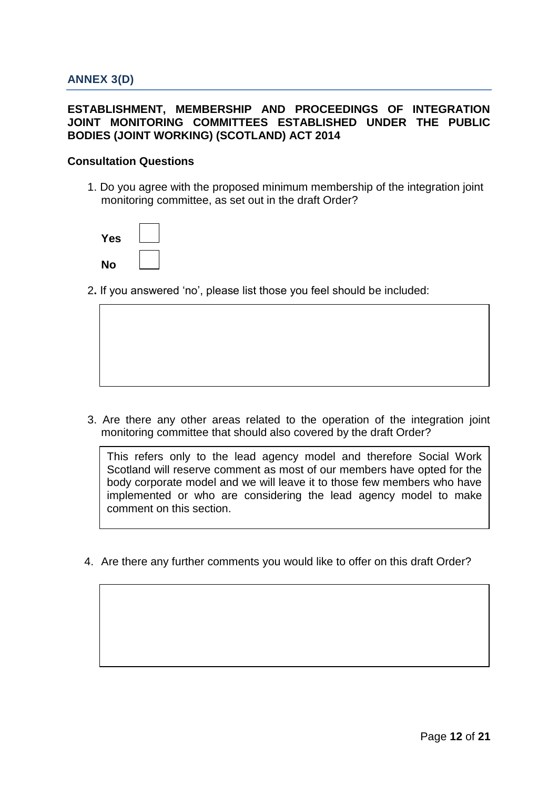## **ESTABLISHMENT, MEMBERSHIP AND PROCEEDINGS OF INTEGRATION JOINT MONITORING COMMITTEES ESTABLISHED UNDER THE PUBLIC BODIES (JOINT WORKING) (SCOTLAND) ACT 2014**

#### **Consultation Questions**

1. Do you agree with the proposed minimum membership of the integration joint monitoring committee, as set out in the draft Order?

| Yes |  |
|-----|--|
| No  |  |

2**.** If you answered 'no', please list those you feel should be included:

3. Are there any other areas related to the operation of the integration joint monitoring committee that should also covered by the draft Order?

This refers only to the lead agency model and therefore Social Work Scotland will reserve comment as most of our members have opted for the body corporate model and we will leave it to those few members who have implemented or who are considering the lead agency model to make comment on this section.

4. Are there any further comments you would like to offer on this draft Order?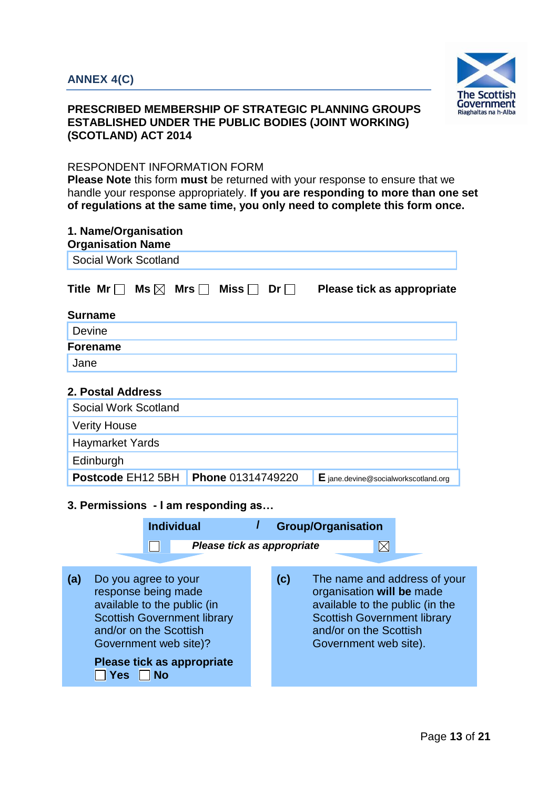

# **PRESCRIBED MEMBERSHIP OF STRATEGIC PLANNING GROUPS ESTABLISHED UNDER THE PUBLIC BODIES (JOINT WORKING) (SCOTLAND) ACT 2014**

## RESPONDENT INFORMATION FORM

| 1. Name/Organisation<br><b>Organisation Name</b>                                                                                                                                                                                    |                                         |                                                                                                                                                                                       |  |  |  |  |
|-------------------------------------------------------------------------------------------------------------------------------------------------------------------------------------------------------------------------------------|-----------------------------------------|---------------------------------------------------------------------------------------------------------------------------------------------------------------------------------------|--|--|--|--|
| Social Work Scotland                                                                                                                                                                                                                |                                         |                                                                                                                                                                                       |  |  |  |  |
| Title Mr $\Box$<br>Ms $\boxtimes$<br>Mrs $\Box$<br>Miss <b>D</b>                                                                                                                                                                    | $Dr \Box$<br>Please tick as appropriate |                                                                                                                                                                                       |  |  |  |  |
| <b>Surname</b>                                                                                                                                                                                                                      |                                         |                                                                                                                                                                                       |  |  |  |  |
| Devine                                                                                                                                                                                                                              |                                         |                                                                                                                                                                                       |  |  |  |  |
| <b>Forename</b>                                                                                                                                                                                                                     |                                         |                                                                                                                                                                                       |  |  |  |  |
| Jane                                                                                                                                                                                                                                |                                         |                                                                                                                                                                                       |  |  |  |  |
| 2. Postal Address<br>Social Work Scotland<br><b>Verity House</b><br><b>Haymarket Yards</b><br>Edinburgh<br>Postcode EH12 5BH<br>Phone 01314749220<br>$E$ jane.devine@socialworkscotland.org                                         |                                         |                                                                                                                                                                                       |  |  |  |  |
| 3. Permissions - I am responding as<br><b>Individual</b><br><b>Group/Organisation</b><br>$\boxtimes$<br>Please tick as appropriate                                                                                                  |                                         |                                                                                                                                                                                       |  |  |  |  |
| (a)<br>Do you agree to your<br>response being made<br>available to the public (in<br><b>Scottish Government library</b><br>and/or on the Scottish<br>Government web site)?<br>Please tick as appropriate<br><b>Yes</b><br><b>No</b> | (c)                                     | The name and address of your<br>organisation will be made<br>available to the public (in the<br><b>Scottish Government library</b><br>and/or on the Scottish<br>Government web site). |  |  |  |  |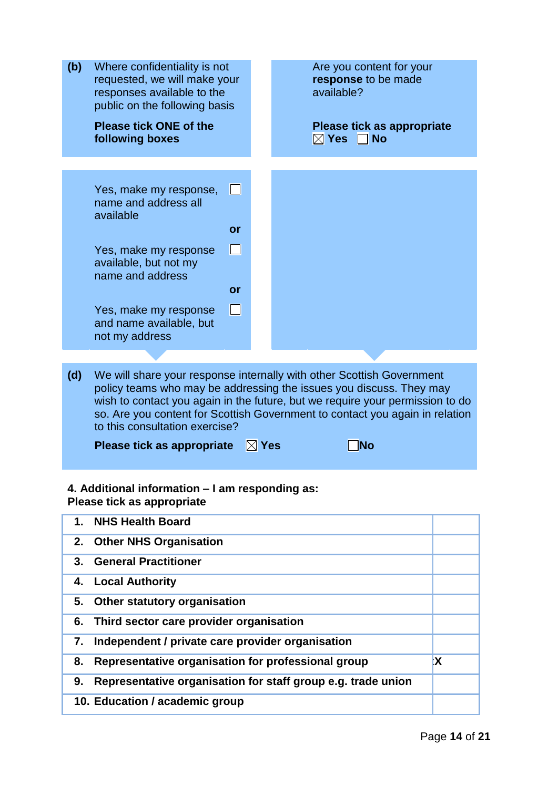| (b) | Where confidentiality is not<br>requested, we will make your<br>responses available to the<br>public on the following basis                                                                                                                                                                                                                                                                                  |           | Are you content for your<br>response to be made<br>available?   |          |
|-----|--------------------------------------------------------------------------------------------------------------------------------------------------------------------------------------------------------------------------------------------------------------------------------------------------------------------------------------------------------------------------------------------------------------|-----------|-----------------------------------------------------------------|----------|
|     | <b>Please tick ONE of the</b><br>following boxes                                                                                                                                                                                                                                                                                                                                                             |           | Please tick as appropriate<br>$\boxtimes$ Yes $^-$<br>$\Box$ No |          |
|     |                                                                                                                                                                                                                                                                                                                                                                                                              |           |                                                                 |          |
|     | Yes, make my response,<br>name and address all<br>available                                                                                                                                                                                                                                                                                                                                                  | $\Box$    |                                                                 |          |
|     |                                                                                                                                                                                                                                                                                                                                                                                                              | or        |                                                                 |          |
|     | Yes, make my response<br>available, but not my<br>name and address                                                                                                                                                                                                                                                                                                                                           | $\Box$    |                                                                 |          |
|     |                                                                                                                                                                                                                                                                                                                                                                                                              | <b>or</b> |                                                                 |          |
|     | Yes, make my response<br>and name available, but<br>not my address                                                                                                                                                                                                                                                                                                                                           | $\Box$    |                                                                 |          |
|     |                                                                                                                                                                                                                                                                                                                                                                                                              |           |                                                                 |          |
| (d) | We will share your response internally with other Scottish Government<br>policy teams who may be addressing the issues you discuss. They may<br>wish to contact you again in the future, but we require your permission to do<br>so. Are you content for Scottish Government to contact you again in relation<br>to this consultation exercise?<br>$\nabla$ Yes<br>Please tick as appropriate<br>$\sqcap$ No |           |                                                                 |          |
|     | 4. Additional information - I am responding as:<br>Please tick as appropriate                                                                                                                                                                                                                                                                                                                                |           |                                                                 |          |
| 1.  | <b>NHS Health Board</b>                                                                                                                                                                                                                                                                                                                                                                                      |           |                                                                 |          |
| 2.  | <b>Other NHS Organisation</b>                                                                                                                                                                                                                                                                                                                                                                                |           |                                                                 |          |
| 3.  | <b>General Practitioner</b>                                                                                                                                                                                                                                                                                                                                                                                  |           |                                                                 |          |
| 4.  | <b>Local Authority</b>                                                                                                                                                                                                                                                                                                                                                                                       |           |                                                                 |          |
| 5.  | <b>Other statutory organisation</b>                                                                                                                                                                                                                                                                                                                                                                          |           |                                                                 |          |
| 6.  | Third sector care provider organisation                                                                                                                                                                                                                                                                                                                                                                      |           |                                                                 |          |
| 7.  | Independent / private care provider organisation                                                                                                                                                                                                                                                                                                                                                             |           |                                                                 |          |
| 8.  | Representative organisation for professional group                                                                                                                                                                                                                                                                                                                                                           |           |                                                                 | <b>X</b> |
| 9.  |                                                                                                                                                                                                                                                                                                                                                                                                              |           | Representative organisation for staff group e.g. trade union    |          |
|     | 10. Education / academic group                                                                                                                                                                                                                                                                                                                                                                               |           |                                                                 |          |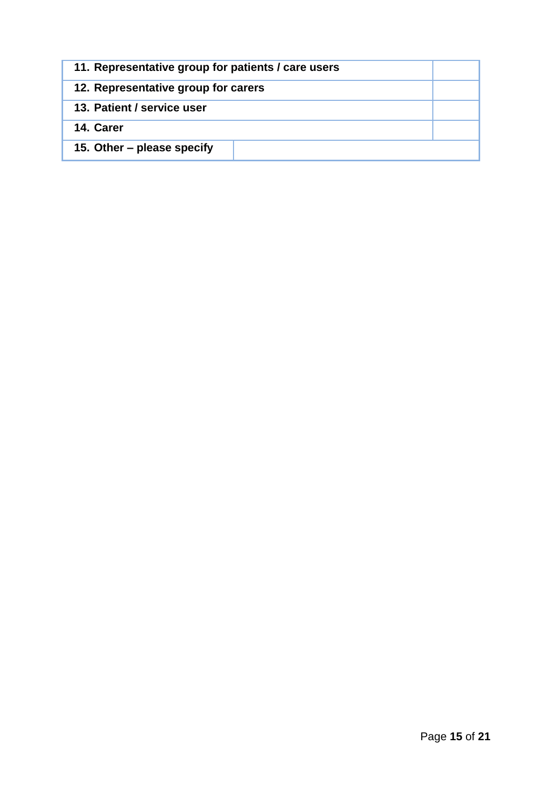| 11. Representative group for patients / care users |  |
|----------------------------------------------------|--|
| 12. Representative group for carers                |  |
| 13. Patient / service user                         |  |
| 14. Carer                                          |  |
| 15. Other – please specify                         |  |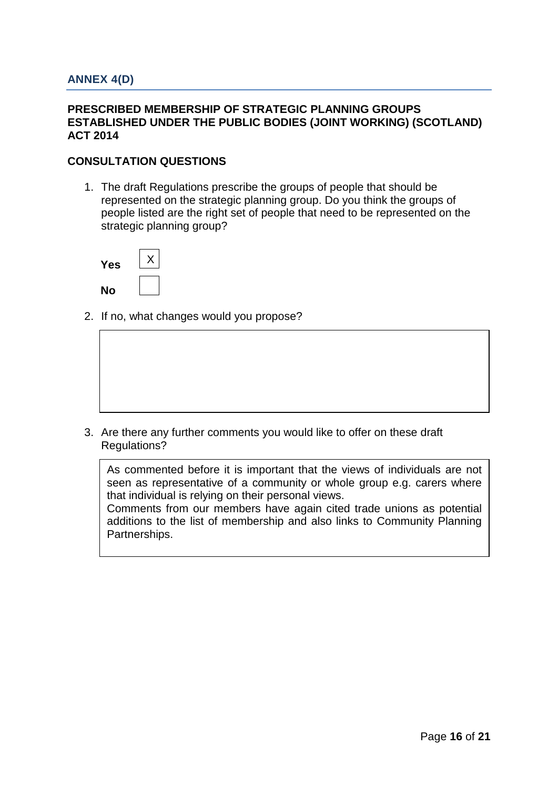### **PRESCRIBED MEMBERSHIP OF STRATEGIC PLANNING GROUPS ESTABLISHED UNDER THE PUBLIC BODIES (JOINT WORKING) (SCOTLAND) ACT 2014**

## **CONSULTATION QUESTIONS**

1. The draft Regulations prescribe the groups of people that should be represented on the strategic planning group. Do you think the groups of people listed are the right set of people that need to be represented on the strategic planning group?



2. If no, what changes would you propose?

3. Are there any further comments you would like to offer on these draft Regulations?

As commented before it is important that the views of individuals are not seen as representative of a community or whole group e.g. carers where that individual is relying on their personal views.

Comments from our members have again cited trade unions as potential additions to the list of membership and also links to Community Planning Partnerships.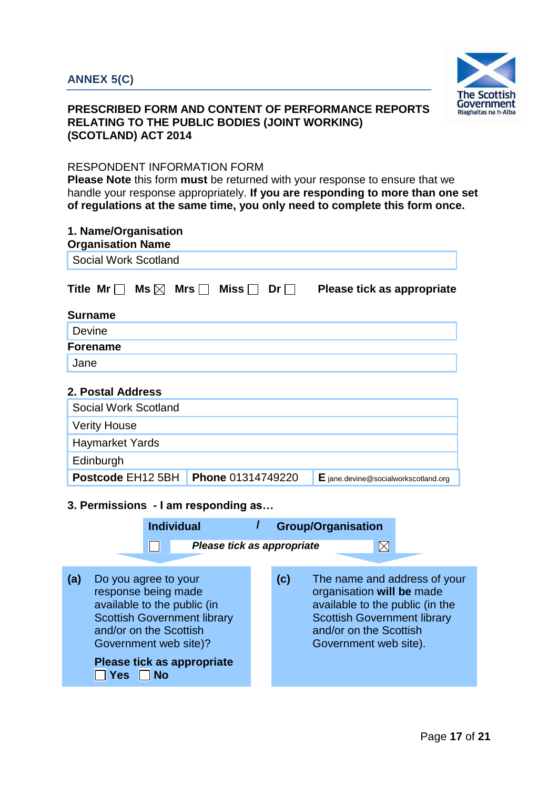

# **PRESCRIBED FORM AND CONTENT OF PERFORMANCE REPORTS RELATING TO THE PUBLIC BODIES (JOINT WORKING) (SCOTLAND) ACT 2014**

# RESPONDENT INFORMATION FORM

| 1. Name/Organisation<br><b>Organisation Name</b>                                                                                                                                                         |                                                      |                                                                                                                                                                                       |
|----------------------------------------------------------------------------------------------------------------------------------------------------------------------------------------------------------|------------------------------------------------------|---------------------------------------------------------------------------------------------------------------------------------------------------------------------------------------|
| Social Work Scotland                                                                                                                                                                                     |                                                      |                                                                                                                                                                                       |
| Title Mr<br>Mrs $\Box$<br>Ms $\boxtimes$                                                                                                                                                                 | Miss [<br>$Dr \Box$                                  | Please tick as appropriate                                                                                                                                                            |
| <b>Surname</b>                                                                                                                                                                                           |                                                      |                                                                                                                                                                                       |
| Devine                                                                                                                                                                                                   |                                                      |                                                                                                                                                                                       |
| <b>Forename</b>                                                                                                                                                                                          |                                                      |                                                                                                                                                                                       |
| Jane                                                                                                                                                                                                     |                                                      |                                                                                                                                                                                       |
| 2. Postal Address<br>Social Work Scotland<br><b>Verity House</b><br><b>Haymarket Yards</b><br>Edinburgh<br>Postcode EH12 5BH<br>3. Permissions - I am responding as<br><b>Individual</b>                 | Phone 01314749220<br>I<br>Please tick as appropriate | $E$ jane.devine@socialworkscotland.org<br><b>Group/Organisation</b><br>$\boxtimes$                                                                                                    |
| (a)<br>Do you agree to your<br>response being made<br>available to the public (in<br><b>Scottish Government library</b><br>and/or on the Scottish<br>Government web site)?<br>Please tick as appropriate | (c)                                                  | The name and address of your<br>organisation will be made<br>available to the public (in the<br><b>Scottish Government library</b><br>and/or on the Scottish<br>Government web site). |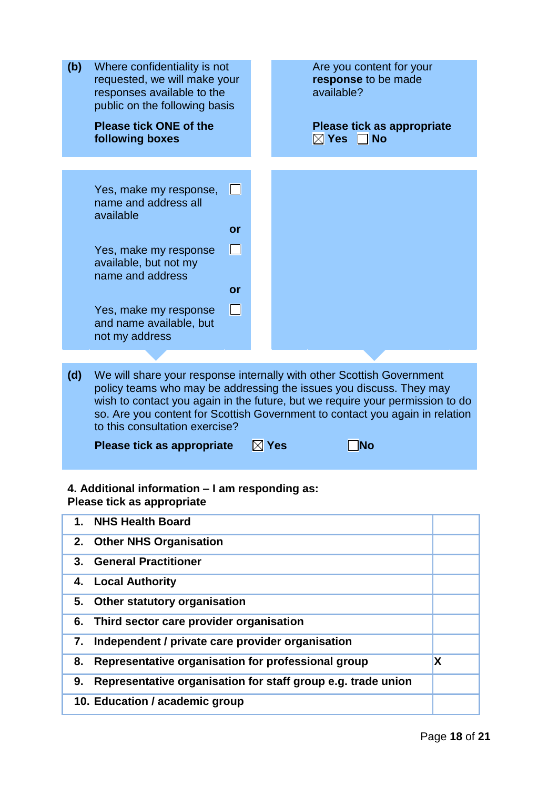| (b) | Where confidentiality is not<br>requested, we will make your<br>responses available to the<br>public on the following basis |                   | Are you content for your<br>response to be made<br>available?                                                                                                                                                                                                                                                 |   |
|-----|-----------------------------------------------------------------------------------------------------------------------------|-------------------|---------------------------------------------------------------------------------------------------------------------------------------------------------------------------------------------------------------------------------------------------------------------------------------------------------------|---|
|     | <b>Please tick ONE of the</b><br>following boxes                                                                            |                   | Please tick as appropriate<br>$\boxtimes$ Yes<br>$\Box$ No                                                                                                                                                                                                                                                    |   |
|     |                                                                                                                             |                   |                                                                                                                                                                                                                                                                                                               |   |
|     |                                                                                                                             |                   |                                                                                                                                                                                                                                                                                                               |   |
|     | Yes, make my response,<br>name and address all<br>available                                                                 | H                 |                                                                                                                                                                                                                                                                                                               |   |
|     |                                                                                                                             | <b>or</b>         |                                                                                                                                                                                                                                                                                                               |   |
|     | Yes, make my response<br>available, but not my<br>name and address                                                          | $\Box$            |                                                                                                                                                                                                                                                                                                               |   |
|     |                                                                                                                             | or                |                                                                                                                                                                                                                                                                                                               |   |
|     | Yes, make my response<br>and name available, but<br>not my address                                                          | $\vert \ \ \vert$ |                                                                                                                                                                                                                                                                                                               |   |
|     |                                                                                                                             |                   |                                                                                                                                                                                                                                                                                                               |   |
| (d) | to this consultation exercise?                                                                                              |                   | We will share your response internally with other Scottish Government<br>policy teams who may be addressing the issues you discuss. They may<br>wish to contact you again in the future, but we require your permission to do<br>so. Are you content for Scottish Government to contact you again in relation |   |
|     | Please tick as appropriate                                                                                                  |                   | $\boxtimes$ Yes<br>∃No                                                                                                                                                                                                                                                                                        |   |
|     | 4. Additional information – I am responding as:<br>Please tick as appropriate                                               |                   |                                                                                                                                                                                                                                                                                                               |   |
| 1.  | <b>NHS Health Board</b>                                                                                                     |                   |                                                                                                                                                                                                                                                                                                               |   |
| 2.  | <b>Other NHS Organisation</b>                                                                                               |                   |                                                                                                                                                                                                                                                                                                               |   |
| 3.  | <b>General Practitioner</b>                                                                                                 |                   |                                                                                                                                                                                                                                                                                                               |   |
| 4.  | <b>Local Authority</b>                                                                                                      |                   |                                                                                                                                                                                                                                                                                                               |   |
| 5.  | <b>Other statutory organisation</b>                                                                                         |                   |                                                                                                                                                                                                                                                                                                               |   |
| 6.  | Third sector care provider organisation                                                                                     |                   |                                                                                                                                                                                                                                                                                                               |   |
| 7.  | Independent / private care provider organisation                                                                            |                   |                                                                                                                                                                                                                                                                                                               |   |
| 8.  | Representative organisation for professional group                                                                          |                   |                                                                                                                                                                                                                                                                                                               | X |

- **9. Representative organisation for staff group e.g. trade union**
- **10. Education / academic group**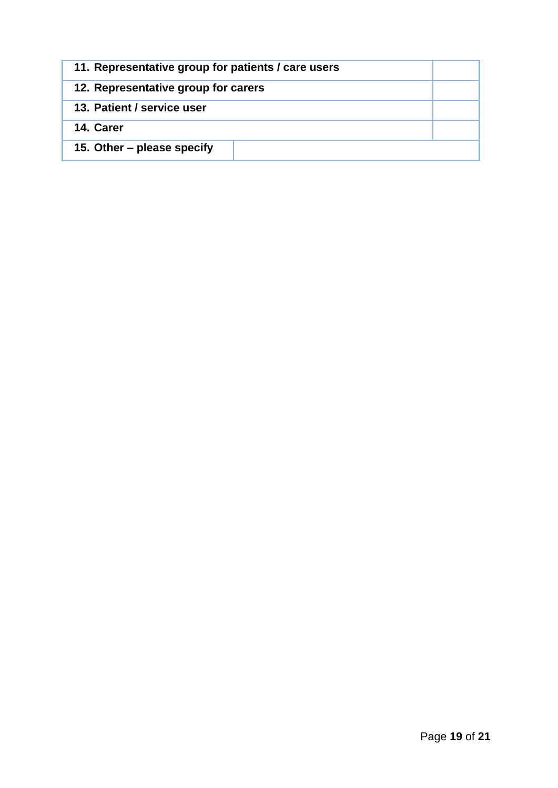| 11. Representative group for patients / care users |  |
|----------------------------------------------------|--|
| 12. Representative group for carers                |  |
| 13. Patient / service user                         |  |
| 14. Carer                                          |  |
| 15. Other – please specify                         |  |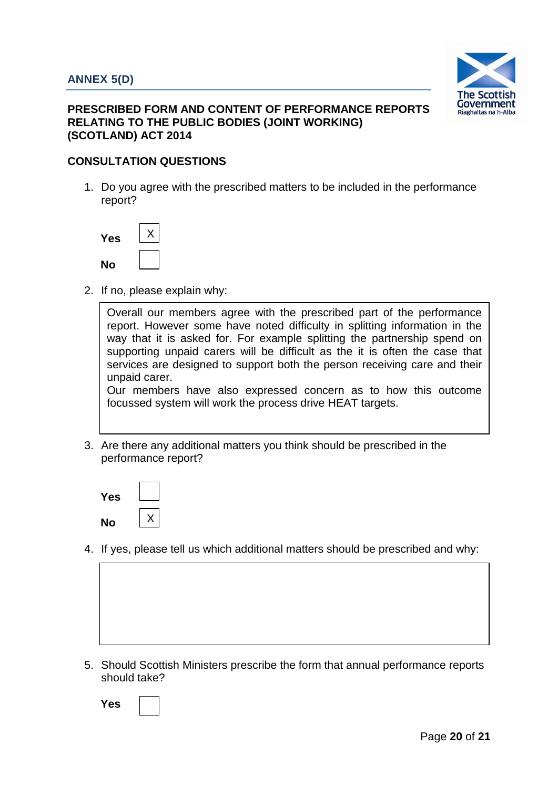

# **PRESCRIBED FORM AND CONTENT OF PERFORMANCE REPORTS RELATING TO THE PUBLIC BODIES (JOINT WORKING) (SCOTLAND) ACT 2014**

# **CONSULTATION QUESTIONS**

1. Do you agree with the prescribed matters to be included in the performance report?

| Yes |  |
|-----|--|
| No  |  |

2. If no, please explain why:

Overall our members agree with the prescribed part of the performance report. However some have noted difficulty in splitting information in the way that it is asked for. For example splitting the partnership spend on supporting unpaid carers will be difficult as the it is often the case that services are designed to support both the person receiving care and their unpaid carer.

Our members have also expressed concern as to how this outcome focussed system will work the process drive HEAT targets.

3. Are there any additional matters you think should be prescribed in the performance report?

| Yes |  |
|-----|--|
| No  |  |

- 4. If yes, please tell us which additional matters should be prescribed and why:
	-
- 5. Should Scottish Ministers prescribe the form that annual performance reports should take?

**Yes**